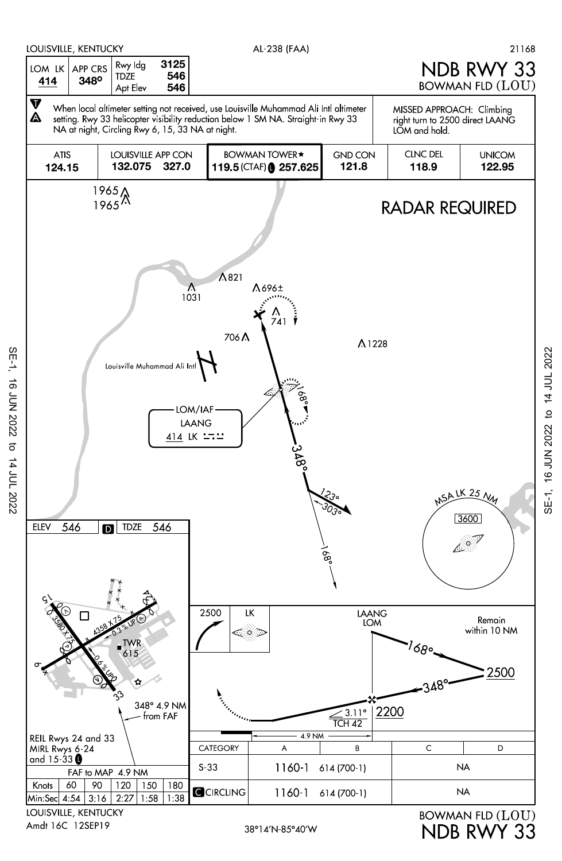

SE-1, 16 JUN 2022 to 14 JUL 2022

to 14 JUL 2022

16 JUN 2022

 $SE-1$ ,

SE-1, 16 JUN 2022 to 14 JUL 2022 SE-1, 16 JUN 2022 to 14 JUL 2022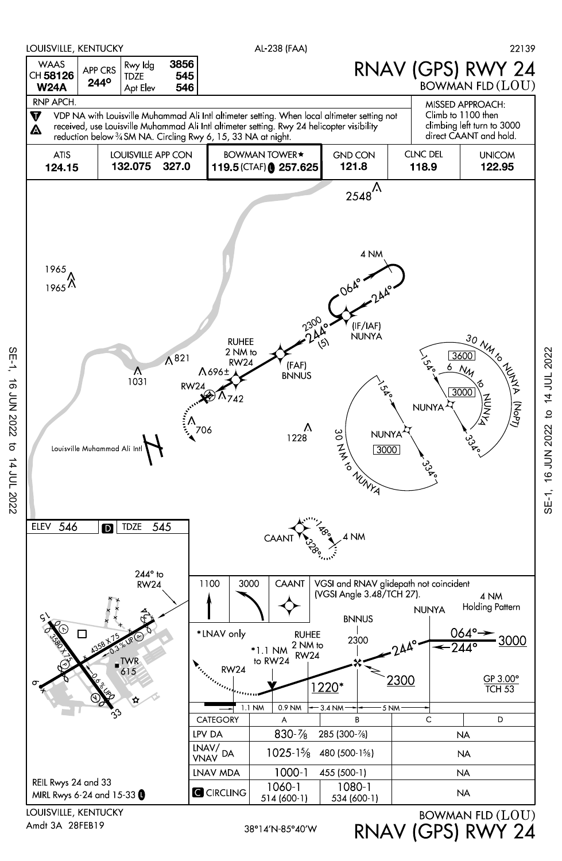

Amdt 3A 28FEB19

SE-1, 16 JUN 2022 to 14 JUL 2022

14 JUL 2022

16 JUN 2022

SE-1,

RNAV (GPS) RWY 24